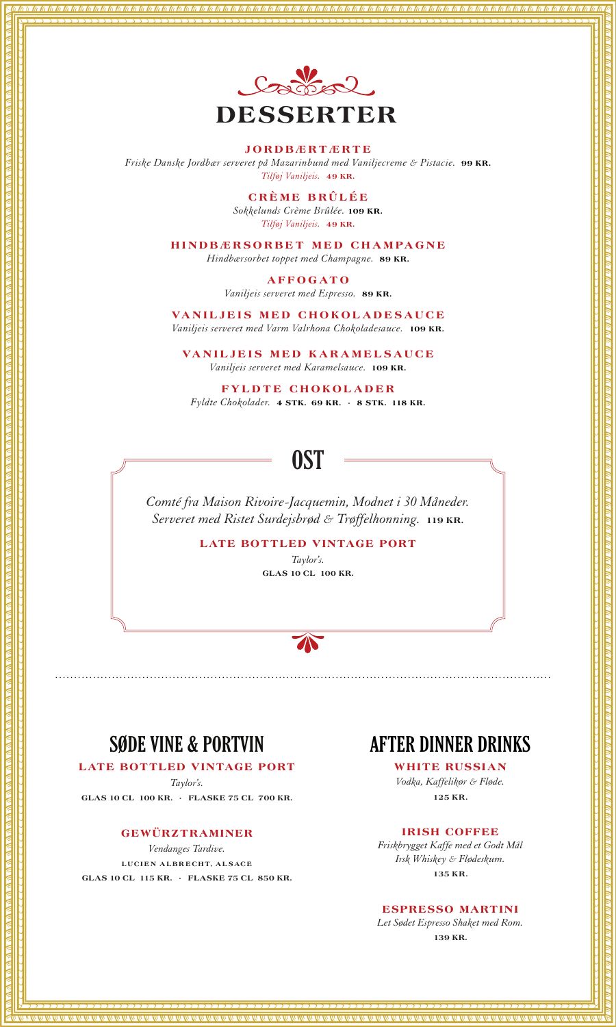

#### **JORDBÆRTÆRTE**

*Friske Danske Jordbær serveret på Mazarinbund med Vaniljecreme & Pistacie.* **99 KR.** *Tilføj Vaniljeis.* **49 KR.**

> **CRÈME BRÛLÉE** *Sokkelunds Crème Brûlée.* **109 KR.** *Tilføj Vaniljeis.* **49 KR.**

**HINDBÆRSORBET MED CHAMPAGNE** *Hindbærsorbet toppet med Champagne.* **89 KR.**

**AFFOGATO**

*Vaniljeis serveret med Espresso.* **89 KR.**

**VANILJEIS MED CHOKOLADESAUCE** *Vaniljeis serveret med Varm Valrhona Chokoladesauce.* **109 KR.**

**VANILJEIS MED KARAMELSAUCE** *Vaniljeis serveret med Karamelsauce.* **109 KR.**

**FYLDTE CHOKOLADER** *Fyldte Chokolader.* **4 STK. 69 KR. · 8 STK. 118 KR.** 

# **OST**

*Comté fra Maison Rivoire-Jacquemin, Modnet i 30 Måneder. Serveret med Ristet Surdejsbrød & Trøffelhonning.* **119 KR.**

**LATE BOTTLED VINTAGE PORT** 

*Taylor's.* **GLAS 10 CL 100 KR.**

...................................................................................................................................

 $\textcolor{blue}{\blacktriangle}$ 

# **SØDE VINE & PORTVIN**

**LATE BOTTLED VINTAGE PORT** *Taylor's.* **GLAS 10 CL 100 KR. · FLASKE 75 CL 700 KR.**

### **GEWÜRZTRAMINER**

*Vendanges Tardive.* **LUCIEN ALBRECHT, ALSACE GLAS 10 CL 115 KR. · FLASKE 75 CL 850 KR.**

### **AFTER DINNER DRINKS**

**WHITE RUSSIAN** *Vodka, Kaffelikør & Fløde.* **125 KR.**

#### **IRISH COFFEE**

*Friskbrygget Kaffe med et Godt Mål Irsk Whiskey & Flødeskum.* **135 KR.**

### **ESPRESSO MARTINI**

*Let Sødet Espresso Shaket med Rom.* **139 KR.**